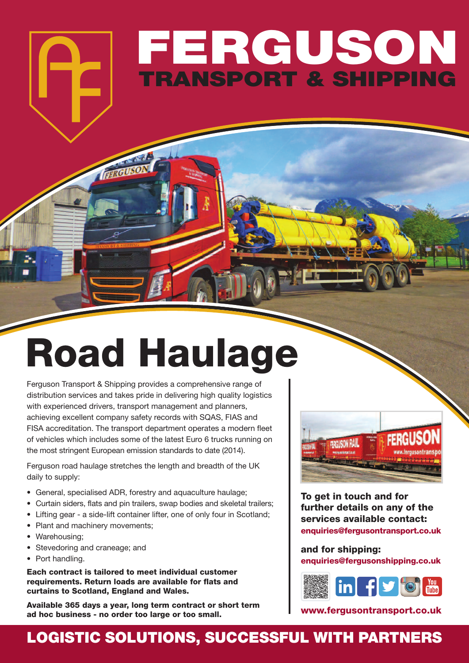## **FERGUSON TRANSPORT & SHIPPING**

# **Road Haulage**

Ferguson Transport & Shipping provides a comprehensive range of distribution services and takes pride in delivering high quality logistics with experienced drivers, transport management and planners, achieving excellent company safety records with SQAS, FIAS and FISA accreditation. The transport department operates a modern fleet of vehicles which includes some of the latest Euro 6 trucks running on the most stringent European emission standards to date (2014).

Ferguson road haulage stretches the length and breadth of the UK daily to supply:

- General, specialised ADR, forestry and aquaculture haulage;
- Curtain siders, flats and pin trailers, swap bodies and skeletal trailers;
- Lifting gear a side-lift container lifter, one of only four in Scotland;
- Plant and machinery movements;
- Warehousing;
- Stevedoring and craneage; and
- Port handling.

**Each contract is tailored to meet individual customer requirements. Return loads are available for flats and curtains to Scotland, England and Wales.**

**Available 365 days a year, long term contract or short term ad hoc business - no order too large or too small.**



**To get in touch and for further details on any of the services available contact: enquiries@fergusontransport.co.uk**

**and for shipping: enquiries@fergusonshipping.co.uk**



**www.fergusontransport.co.uk**

### **LOGISTIC SOLUTIONS, SUCCESSFUL WITH PARTNERS**